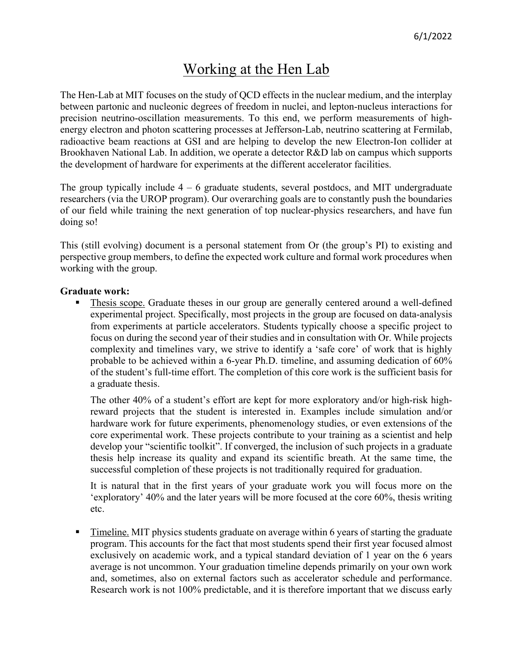# Working at the Hen Lab

The Hen-Lab at MIT focuses on the study of QCD effects in the nuclear medium, and the interplay between partonic and nucleonic degrees of freedom in nuclei, and lepton-nucleus interactions for precision neutrino-oscillation measurements. To this end, we perform measurements of highenergy electron and photon scattering processes at Jefferson-Lab, neutrino scattering at Fermilab, radioactive beam reactions at GSI and are helping to develop the new Electron-Ion collider at Brookhaven National Lab. In addition, we operate a detector R&D lab on campus which supports the development of hardware for experiments at the different accelerator facilities.

The group typically include  $4 - 6$  graduate students, several postdocs, and MIT undergraduate researchers (via the UROP program). Our overarching goals are to constantly push the boundaries of our field while training the next generation of top nuclear-physics researchers, and have fun doing so!

This (still evolving) document is a personal statement from Or (the group's PI) to existing and perspective group members, to define the expected work culture and formal work procedures when working with the group.

### **Graduate work:**

Thesis scope. Graduate theses in our group are generally centered around a well-defined experimental project. Specifically, most projects in the group are focused on data-analysis from experiments at particle accelerators. Students typically choose a specific project to focus on during the second year of their studies and in consultation with Or. While projects complexity and timelines vary, we strive to identify a 'safe core' of work that is highly probable to be achieved within a 6-year Ph.D. timeline, and assuming dedication of 60% of the student's full-time effort. The completion of this core work is the sufficient basis for a graduate thesis.

The other 40% of a student's effort are kept for more exploratory and/or high-risk highreward projects that the student is interested in. Examples include simulation and/or hardware work for future experiments, phenomenology studies, or even extensions of the core experimental work. These projects contribute to your training as a scientist and help develop your "scientific toolkit". If converged, the inclusion of such projects in a graduate thesis help increase its quality and expand its scientific breath. At the same time, the successful completion of these projects is not traditionally required for graduation.

It is natural that in the first years of your graduate work you will focus more on the 'exploratory' 40% and the later years will be more focused at the core 60%, thesis writing etc.

**Example 1** Timeline. MIT physics students graduate on average within 6 years of starting the graduate program. This accounts for the fact that most students spend their first year focused almost exclusively on academic work, and a typical standard deviation of 1 year on the 6 years average is not uncommon. Your graduation timeline depends primarily on your own work and, sometimes, also on external factors such as accelerator schedule and performance. Research work is not 100% predictable, and it is therefore important that we discuss early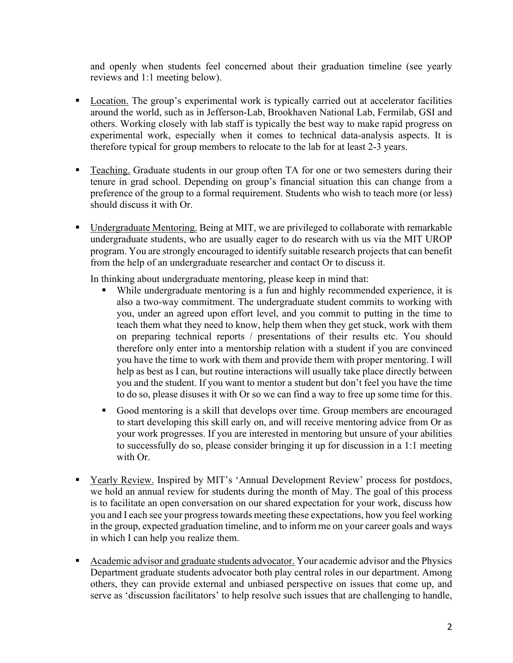and openly when students feel concerned about their graduation timeline (see yearly reviews and 1:1 meeting below).

- Location. The group's experimental work is typically carried out at accelerator facilities around the world, such as in Jefferson-Lab, Brookhaven National Lab, Fermilab, GSI and others. Working closely with lab staff is typically the best way to make rapid progress on experimental work, especially when it comes to technical data-analysis aspects. It is therefore typical for group members to relocate to the lab for at least 2-3 years.
- **Teaching.** Graduate students in our group often TA for one or two semesters during their tenure in grad school. Depending on group's financial situation this can change from a preference of the group to a formal requirement. Students who wish to teach more (or less) should discuss it with Or.
- § Undergraduate Mentoring. Being at MIT, we are privileged to collaborate with remarkable undergraduate students, who are usually eager to do research with us via the MIT UROP program. You are strongly encouraged to identify suitable research projects that can benefit from the help of an undergraduate researcher and contact Or to discuss it.

In thinking about undergraduate mentoring, please keep in mind that:

- While undergraduate mentoring is a fun and highly recommended experience, it is also a two-way commitment. The undergraduate student commits to working with you, under an agreed upon effort level, and you commit to putting in the time to teach them what they need to know, help them when they get stuck, work with them on preparing technical reports / presentations of their results etc. You should therefore only enter into a mentorship relation with a student if you are convinced you have the time to work with them and provide them with proper mentoring. I will help as best as I can, but routine interactions will usually take place directly between you and the student. If you want to mentor a student but don't feel you have the time to do so, please disuses it with Or so we can find a way to free up some time for this.
- § Good mentoring is a skill that develops over time. Group members are encouraged to start developing this skill early on, and will receive mentoring advice from Or as your work progresses. If you are interested in mentoring but unsure of your abilities to successfully do so, please consider bringing it up for discussion in a 1:1 meeting with Or.
- Yearly Review. Inspired by MIT's 'Annual Development Review' process for postdocs, we hold an annual review for students during the month of May. The goal of this process is to facilitate an open conversation on our shared expectation for your work, discuss how you and I each see your progress towards meeting these expectations, how you feel working in the group, expected graduation timeline, and to inform me on your career goals and ways in which I can help you realize them.
- Academic advisor and graduate students advocator. Your academic advisor and the Physics Department graduate students advocator both play central roles in our department. Among others, they can provide external and unbiased perspective on issues that come up, and serve as 'discussion facilitators' to help resolve such issues that are challenging to handle,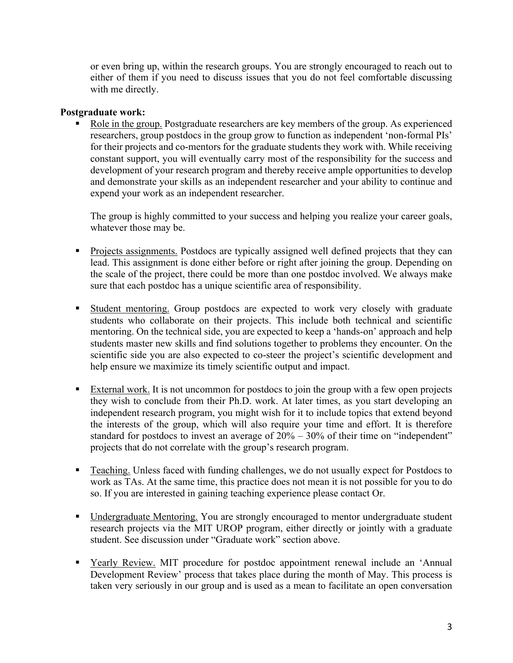or even bring up, within the research groups. You are strongly encouraged to reach out to either of them if you need to discuss issues that you do not feel comfortable discussing with me directly.

### **Postgraduate work:**

Role in the group. Postgraduate researchers are key members of the group. As experienced researchers, group postdocs in the group grow to function as independent 'non-formal PIs' for their projects and co-mentors for the graduate students they work with. While receiving constant support, you will eventually carry most of the responsibility for the success and development of your research program and thereby receive ample opportunities to develop and demonstrate your skills as an independent researcher and your ability to continue and expend your work as an independent researcher.

The group is highly committed to your success and helping you realize your career goals, whatever those may be.

- § Projects assignments. Postdocs are typically assigned well defined projects that they can lead. This assignment is done either before or right after joining the group. Depending on the scale of the project, there could be more than one postdoc involved. We always make sure that each postdoc has a unique scientific area of responsibility.
- Student mentoring. Group postdocs are expected to work very closely with graduate students who collaborate on their projects. This include both technical and scientific mentoring. On the technical side, you are expected to keep a 'hands-on' approach and help students master new skills and find solutions together to problems they encounter. On the scientific side you are also expected to co-steer the project's scientific development and help ensure we maximize its timely scientific output and impact.
- External work. It is not uncommon for postdocs to join the group with a few open projects they wish to conclude from their Ph.D. work. At later times, as you start developing an independent research program, you might wish for it to include topics that extend beyond the interests of the group, which will also require your time and effort. It is therefore standard for postdocs to invest an average of 20% – 30% of their time on "independent" projects that do not correlate with the group's research program.
- Teaching. Unless faced with funding challenges, we do not usually expect for Postdocs to work as TAs. At the same time, this practice does not mean it is not possible for you to do so. If you are interested in gaining teaching experience please contact Or.
- Undergraduate Mentoring. You are strongly encouraged to mentor undergraduate student research projects via the MIT UROP program, either directly or jointly with a graduate student. See discussion under "Graduate work" section above.
- § Yearly Review. MIT procedure for postdoc appointment renewal include an 'Annual Development Review' process that takes place during the month of May. This process is taken very seriously in our group and is used as a mean to facilitate an open conversation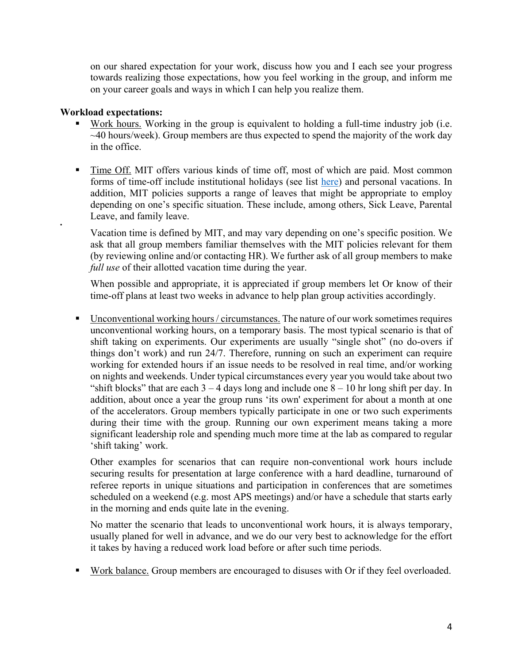on our shared expectation for your work, discuss how you and I each see your progress towards realizing those expectations, how you feel working in the group, and inform me on your career goals and ways in which I can help you realize them.

## **Workload expectations:**

•

- Work hours. Working in the group is equivalent to holding a full-time industry job (i.e.  $\sim$ 40 hours/week). Group members are thus expected to spend the majority of the work day in the office.
- Time Off. MIT offers various kinds of time off, most of which are paid. Most common forms of time-off include institutional holidays (see list here) and personal vacations. In addition, MIT policies supports a range of leaves that might be appropriate to employ depending on one's specific situation. These include, among others, Sick Leave, Parental Leave, and family leave.

Vacation time is defined by MIT, and may vary depending on one's specific position. We ask that all group members familiar themselves with the MIT policies relevant for them (by reviewing online and/or contacting HR). We further ask of all group members to make *full use* of their allotted vacation time during the year.

When possible and appropriate, it is appreciated if group members let Or know of their time-off plans at least two weeks in advance to help plan group activities accordingly.

■ Unconventional working hours / circumstances. The nature of our work sometimes requires unconventional working hours, on a temporary basis. The most typical scenario is that of shift taking on experiments. Our experiments are usually "single shot" (no do-overs if things don't work) and run 24/7. Therefore, running on such an experiment can require working for extended hours if an issue needs to be resolved in real time, and/or working on nights and weekends. Under typical circumstances every year you would take about two "shift blocks" that are each  $3 - 4$  days long and include one  $8 - 10$  hr long shift per day. In addition, about once a year the group runs 'its own' experiment for about a month at one of the accelerators. Group members typically participate in one or two such experiments during their time with the group. Running our own experiment means taking a more significant leadership role and spending much more time at the lab as compared to regular 'shift taking' work.

Other examples for scenarios that can require non-conventional work hours include securing results for presentation at large conference with a hard deadline, turnaround of referee reports in unique situations and participation in conferences that are sometimes scheduled on a weekend (e.g. most APS meetings) and/or have a schedule that starts early in the morning and ends quite late in the evening.

No matter the scenario that leads to unconventional work hours, it is always temporary, usually planed for well in advance, and we do our very best to acknowledge for the effort it takes by having a reduced work load before or after such time periods.

Work balance. Group members are encouraged to disuses with Or if they feel overloaded.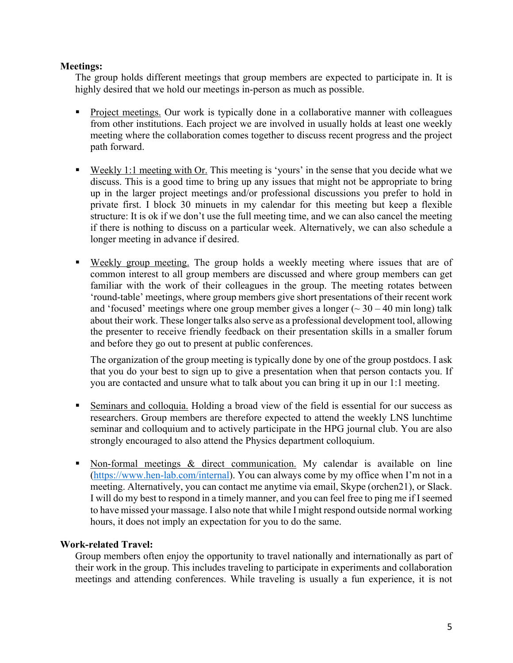## **Meetings:**

The group holds different meetings that group members are expected to participate in. It is highly desired that we hold our meetings in-person as much as possible.

- Project meetings. Our work is typically done in a collaborative manner with colleagues from other institutions. Each project we are involved in usually holds at least one weekly meeting where the collaboration comes together to discuss recent progress and the project path forward.
- Weekly 1:1 meeting with Or. This meeting is 'yours' in the sense that you decide what we discuss. This is a good time to bring up any issues that might not be appropriate to bring up in the larger project meetings and/or professional discussions you prefer to hold in private first. I block 30 minuets in my calendar for this meeting but keep a flexible structure: It is ok if we don't use the full meeting time, and we can also cancel the meeting if there is nothing to discuss on a particular week. Alternatively, we can also schedule a longer meeting in advance if desired.
- Weekly group meeting. The group holds a weekly meeting where issues that are of common interest to all group members are discussed and where group members can get familiar with the work of their colleagues in the group. The meeting rotates between 'round-table' meetings, where group members give short presentations of their recent work and 'focused' meetings where one group member gives a longer ( $\sim$  30 – 40 min long) talk about their work. These longer talks also serve as a professional development tool, allowing the presenter to receive friendly feedback on their presentation skills in a smaller forum and before they go out to present at public conferences.

The organization of the group meeting is typically done by one of the group postdocs. I ask that you do your best to sign up to give a presentation when that person contacts you. If you are contacted and unsure what to talk about you can bring it up in our 1:1 meeting.

- § Seminars and colloquia. Holding a broad view of the field is essential for our success as researchers. Group members are therefore expected to attend the weekly LNS lunchtime seminar and colloquium and to actively participate in the HPG journal club. You are also strongly encouraged to also attend the Physics department colloquium.
- Non-formal meetings & direct communication. My calendar is available on line (https://www.hen-lab.com/internal). You can always come by my office when I'm not in a meeting. Alternatively, you can contact me anytime via email, Skype (orchen21), or Slack. I will do my best to respond in a timely manner, and you can feel free to ping me if I seemed to have missed your massage. I also note that while I might respond outside normal working hours, it does not imply an expectation for you to do the same.

# **Work-related Travel:**

Group members often enjoy the opportunity to travel nationally and internationally as part of their work in the group. This includes traveling to participate in experiments and collaboration meetings and attending conferences. While traveling is usually a fun experience, it is not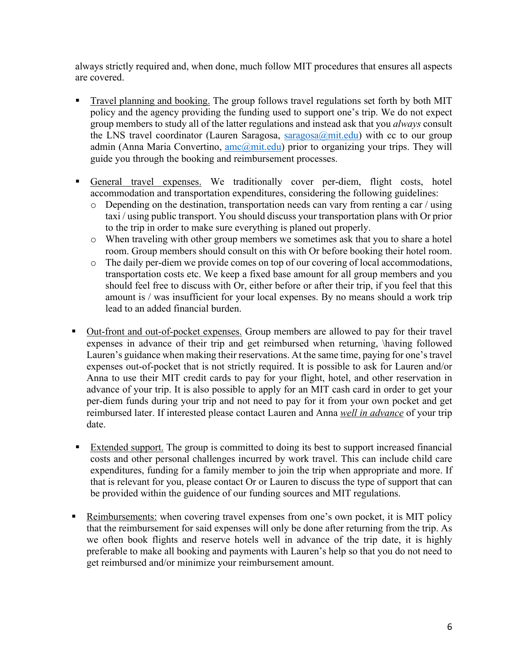always strictly required and, when done, much follow MIT procedures that ensures all aspects are covered.

- Travel planning and booking. The group follows travel regulations set forth by both MIT policy and the agency providing the funding used to support one's trip. We do not expect group members to study all of the latter regulations and instead ask that you *always* consult the LNS travel coordinator (Lauren Saragosa,  $\frac{2}{a}$  mit.edu) with cc to our group admin (Anna Maria Convertino,  $\frac{amc(\partial m)t.edu)}{a(t)}$  prior to organizing your trips. They will guide you through the booking and reimbursement processes.
- § General travel expenses. We traditionally cover per-diem, flight costs, hotel accommodation and transportation expenditures, considering the following guidelines:
	- o Depending on the destination, transportation needs can vary from renting a car / using taxi / using public transport. You should discuss your transportation plans with Or prior to the trip in order to make sure everything is planed out properly.
	- o When traveling with other group members we sometimes ask that you to share a hotel room. Group members should consult on this with Or before booking their hotel room.
	- o The daily per-diem we provide comes on top of our covering of local accommodations, transportation costs etc. We keep a fixed base amount for all group members and you should feel free to discuss with Or, either before or after their trip, if you feel that this amount is / was insufficient for your local expenses. By no means should a work trip lead to an added financial burden.
- § Out-front and out-of-pocket expenses. Group members are allowed to pay for their travel expenses in advance of their trip and get reimbursed when returning, \having followed Lauren's guidance when making their reservations. At the same time, paying for one's travel expenses out-of-pocket that is not strictly required. It is possible to ask for Lauren and/or Anna to use their MIT credit cards to pay for your flight, hotel, and other reservation in advance of your trip. It is also possible to apply for an MIT cash card in order to get your per-diem funds during your trip and not need to pay for it from your own pocket and get reimbursed later. If interested please contact Lauren and Anna *well in advance* of your trip date.
- Extended support. The group is committed to doing its best to support increased financial costs and other personal challenges incurred by work travel. This can include child care expenditures, funding for a family member to join the trip when appropriate and more. If that is relevant for you, please contact Or or Lauren to discuss the type of support that can be provided within the guidence of our funding sources and MIT regulations.
- Reimbursements: when covering travel expenses from one's own pocket, it is MIT policy that the reimbursement for said expenses will only be done after returning from the trip. As we often book flights and reserve hotels well in advance of the trip date, it is highly preferable to make all booking and payments with Lauren's help so that you do not need to get reimbursed and/or minimize your reimbursement amount.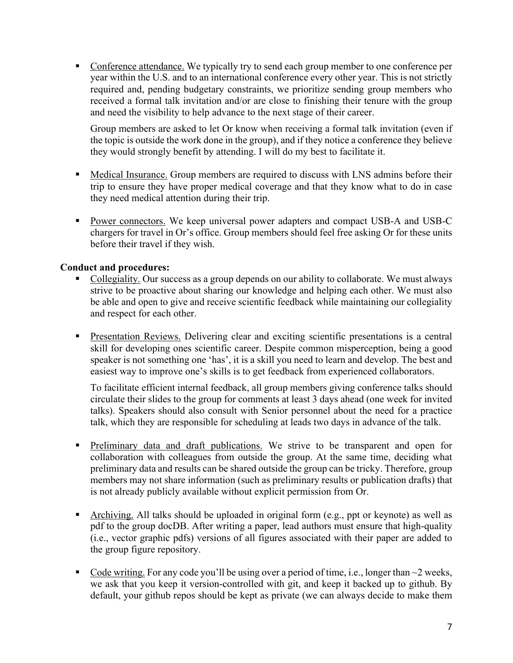• Conference attendance. We typically try to send each group member to one conference per year within the U.S. and to an international conference every other year. This is not strictly required and, pending budgetary constraints, we prioritize sending group members who received a formal talk invitation and/or are close to finishing their tenure with the group and need the visibility to help advance to the next stage of their career.

Group members are asked to let Or know when receiving a formal talk invitation (even if the topic is outside the work done in the group), and if they notice a conference they believe they would strongly benefit by attending. I will do my best to facilitate it.

- Medical Insurance. Group members are required to discuss with LNS admins before their trip to ensure they have proper medical coverage and that they know what to do in case they need medical attention during their trip.
- **Power connectors.** We keep universal power adapters and compact USB-A and USB-C chargers for travel in Or's office. Group members should feel free asking Or for these units before their travel if they wish.

# **Conduct and procedures:**

- § Collegiality. Our success as a group depends on our ability to collaborate. We must always strive to be proactive about sharing our knowledge and helping each other. We must also be able and open to give and receive scientific feedback while maintaining our collegiality and respect for each other.
- § Presentation Reviews. Delivering clear and exciting scientific presentations is a central skill for developing ones scientific career. Despite common misperception, being a good speaker is not something one 'has', it is a skill you need to learn and develop. The best and easiest way to improve one's skills is to get feedback from experienced collaborators.

To facilitate efficient internal feedback, all group members giving conference talks should circulate their slides to the group for comments at least 3 days ahead (one week for invited talks). Speakers should also consult with Senior personnel about the need for a practice talk, which they are responsible for scheduling at leads two days in advance of the talk.

- **Preliminary data and draft publications.** We strive to be transparent and open for collaboration with colleagues from outside the group. At the same time, deciding what preliminary data and results can be shared outside the group can be tricky. Therefore, group members may not share information (such as preliminary results or publication drafts) that is not already publicly available without explicit permission from Or.
- § Archiving. All talks should be uploaded in original form (e.g., ppt or keynote) as well as pdf to the group docDB. After writing a paper, lead authors must ensure that high-quality (i.e., vector graphic pdfs) versions of all figures associated with their paper are added to the group figure repository.
- Code writing. For any code you'll be using over a period of time, i.e., longer than  $\sim$ 2 weeks, we ask that you keep it version-controlled with git, and keep it backed up to github. By default, your github repos should be kept as private (we can always decide to make them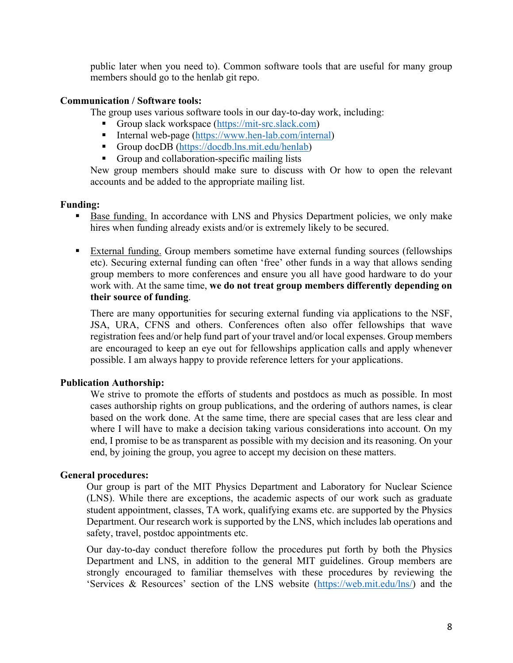public later when you need to). Common software tools that are useful for many group members should go to the henlab git repo.

### **Communication / Software tools:**

The group uses various software tools in our day-to-day work, including:

- Group slack workspace (https://mit-src.slack.com)
- Internal web-page (https://www.hen-lab.com/internal)
- Group docDB (https://docdb.lns.mit.edu/henlab)
- Group and collaboration-specific mailing lists

New group members should make sure to discuss with Or how to open the relevant accounts and be added to the appropriate mailing list.

## **Funding:**

- Base funding. In accordance with LNS and Physics Department policies, we only make hires when funding already exists and/or is extremely likely to be secured.
- § External funding. Group members sometime have external funding sources (fellowships etc). Securing external funding can often 'free' other funds in a way that allows sending group members to more conferences and ensure you all have good hardware to do your work with. At the same time, **we do not treat group members differently depending on their source of funding**.

There are many opportunities for securing external funding via applications to the NSF, JSA, URA, CFNS and others. Conferences often also offer fellowships that wave registration fees and/or help fund part of your travel and/or local expenses. Group members are encouraged to keep an eye out for fellowships application calls and apply whenever possible. I am always happy to provide reference letters for your applications.

# **Publication Authorship:**

We strive to promote the efforts of students and postdocs as much as possible. In most cases authorship rights on group publications, and the ordering of authors names, is clear based on the work done. At the same time, there are special cases that are less clear and where I will have to make a decision taking various considerations into account. On my end, I promise to be as transparent as possible with my decision and its reasoning. On your end, by joining the group, you agree to accept my decision on these matters.

### **General procedures:**

Our group is part of the MIT Physics Department and Laboratory for Nuclear Science (LNS). While there are exceptions, the academic aspects of our work such as graduate student appointment, classes, TA work, qualifying exams etc. are supported by the Physics Department. Our research work is supported by the LNS, which includes lab operations and safety, travel, postdoc appointments etc.

Our day-to-day conduct therefore follow the procedures put forth by both the Physics Department and LNS, in addition to the general MIT guidelines. Group members are strongly encouraged to familiar themselves with these procedures by reviewing the 'Services & Resources' section of the LNS website (https://web.mit.edu/lns/) and the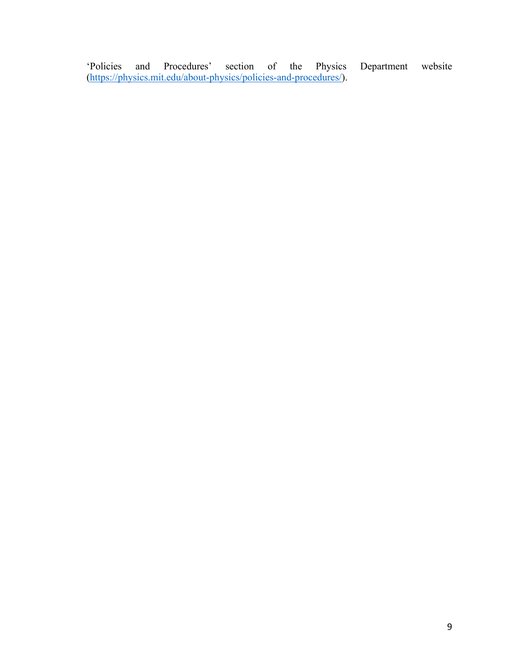'Policies and Procedures' section of the Physics Department website (https://physics.mit.edu/about-physics/policies-and-procedures/).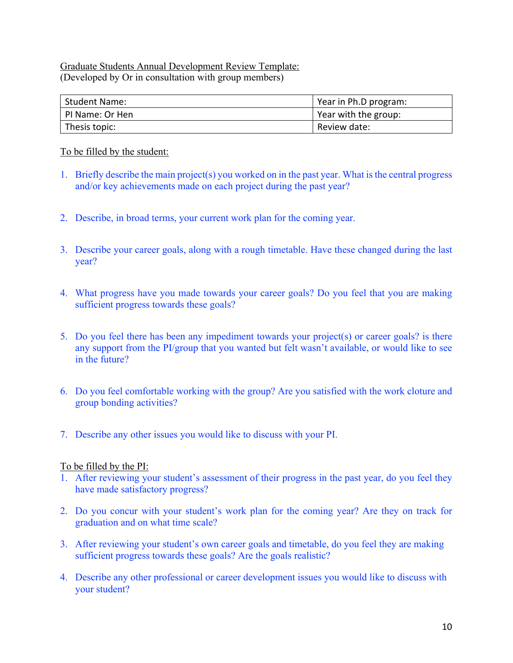## Graduate Students Annual Development Review Template: (Developed by Or in consultation with group members)

| <b>Student Name:</b> | Year in Ph.D program: |
|----------------------|-----------------------|
| PI Name: Or Hen      | Year with the group:  |
| Thesis topic:        | Review date:          |

## To be filled by the student:

- 1. Briefly describe the main project(s) you worked on in the past year. What is the central progress and/or key achievements made on each project during the past year?
- 2. Describe, in broad terms, your current work plan for the coming year.
- 3. Describe your career goals, along with a rough timetable. Have these changed during the last year?
- 4. What progress have you made towards your career goals? Do you feel that you are making sufficient progress towards these goals?
- 5. Do you feel there has been any impediment towards your project(s) or career goals? is there any support from the PI/group that you wanted but felt wasn't available, or would like to see in the future?
- 6. Do you feel comfortable working with the group? Are you satisfied with the work cloture and group bonding activities?
- 7. Describe any other issues you would like to discuss with your PI.

# To be filled by the PI:

- 1. After reviewing your student's assessment of their progress in the past year, do you feel they have made satisfactory progress?
- 2. Do you concur with your student's work plan for the coming year? Are they on track for graduation and on what time scale?
- 3. After reviewing your student's own career goals and timetable, do you feel they are making sufficient progress towards these goals? Are the goals realistic?
- 4. Describe any other professional or career development issues you would like to discuss with your student?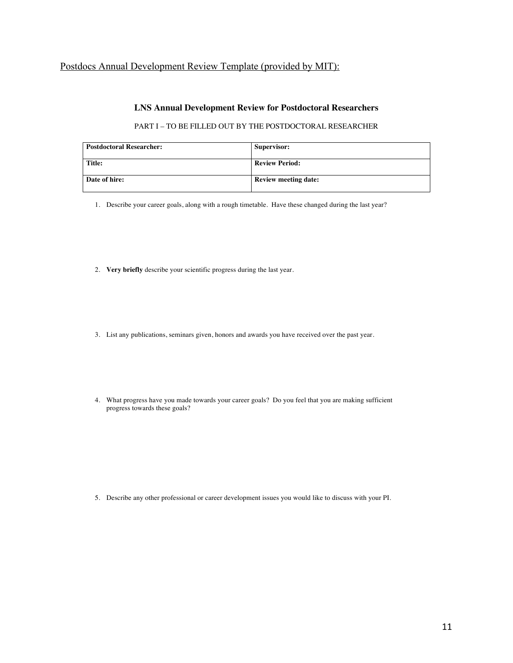# Postdocs Annual Development Review Template (provided by MIT):

#### **LNS Annual Development Review for Postdoctoral Researchers**

#### PART I – TO BE FILLED OUT BY THE POSTDOCTORAL RESEARCHER

| <b>Postdoctoral Researcher:</b> | Supervisor:                 |
|---------------------------------|-----------------------------|
| Title:                          | <b>Review Period:</b>       |
| Date of hire:                   | <b>Review meeting date:</b> |

1. Describe your career goals, along with a rough timetable. Have these changed during the last year?

- 2. **Very briefly** describe your scientific progress during the last year.
- 3. List any publications, seminars given, honors and awards you have received over the past year.
- 4. What progress have you made towards your career goals? Do you feel that you are making sufficient progress towards these goals?

5. Describe any other professional or career development issues you would like to discuss with your PI.